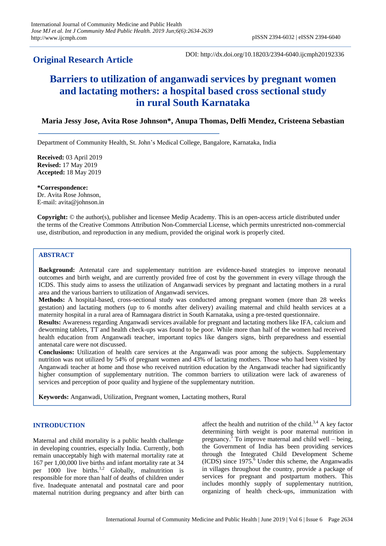## **Original Research Article**

DOI: http://dx.doi.org/10.18203/2394-6040.ijcmph20192336

# **Barriers to utilization of anganwadi services by pregnant women and lactating mothers: a hospital based cross sectional study in rural South Karnataka**

### **Maria Jessy Jose, Avita Rose Johnson\*, Anupa Thomas, Delfi Mendez, Cristeena Sebastian**

Department of Community Health, St. John's Medical College, Bangalore, Karnataka, India

**Received:** 03 April 2019 **Revised:** 17 May 2019 **Accepted:** 18 May 2019

**\*Correspondence:** Dr. Avita Rose Johnson, E-mail: avita@johnson.in

**Copyright:** © the author(s), publisher and licensee Medip Academy. This is an open-access article distributed under the terms of the Creative Commons Attribution Non-Commercial License, which permits unrestricted non-commercial use, distribution, and reproduction in any medium, provided the original work is properly cited.

#### **ABSTRACT**

**Background:** Antenatal care and supplementary nutrition are evidence-based strategies to improve neonatal outcomes and birth weight, and are currently provided free of cost by the government in every village through the ICDS. This study aims to assess the utilization of Anganwadi services by pregnant and lactating mothers in a rural area and the various barriers to utilization of Anganwadi services.

**Methods:** A hospital-based, cross-sectional study was conducted among pregnant women (more than 28 weeks gestation) and lactating mothers (up to 6 months after delivery) availing maternal and child health services at a maternity hospital in a rural area of Ramnagara district in South Karnataka, using a pre-tested questionnaire.

**Results:** Awareness regarding Anganwadi services available for pregnant and lactating mothers like IFA, calcium and deworming tablets, TT and health check-ups was found to be poor. While more than half of the women had received health education from Anganwadi teacher, important topics like dangers signs, birth preparedness and essential antenatal care were not discussed.

**Conclusions:** Utilization of health care services at the Anganwadi was poor among the subjects. Supplementary nutrition was not utilized by 54% of pregnant women and 43% of lactating mothers. Those who had been visited by Anganwadi teacher at home and those who received nutrition education by the Anganwadi teacher had significantly higher consumption of supplementary nutrition. The common barriers to utilization were lack of awareness of services and perception of poor quality and hygiene of the supplementary nutrition.

**Keywords:** Anganwadi, Utilization, Pregnant women, Lactating mothers, Rural

#### **INTRODUCTION**

Maternal and child mortality is a public health challenge in developing countries, especially India. Currently, both remain unacceptably high with maternal mortality rate at 167 per 1,00,000 live births and infant mortality rate at 34 per  $1000$  live births.<sup>1,2</sup> Globally, malnutrition is responsible for more than half of deaths of children under five. Inadequate antenatal and postnatal care and poor maternal nutrition during pregnancy and after birth can affect the health and nutrition of the child.<sup>3,4</sup> A key factor determining birth weight is poor maternal nutrition in pregnancy. $5$  To improve maternal and child well – being, the Government of India has been providing services through the Integrated Child Development Scheme  $(ICDS)$  since 1975. $\frac{6}{5}$  Under this scheme, the Anganwadis in villages throughout the country, provide a package of services for pregnant and postpartum mothers. This includes monthly supply of supplementary nutrition, organizing of health check-ups, immunization with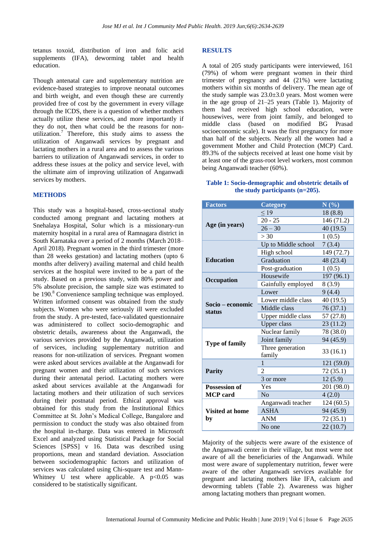tetanus toxoid, distribution of iron and folic acid supplements (IFA), deworming tablet and health education.

Though antenatal care and supplementary nutrition are evidence-based strategies to improve neonatal outcomes and birth weight, and even though these are currently provided free of cost by the government in every village through the ICDS, there is a question of whether mothers actually utilize these services, and more importantly if they do not, then what could be the reasons for nonutilization.<sup>7</sup> Therefore, this study aims to assess the utilization of Anganwadi services by pregnant and lactating mothers in a rural area and to assess the various barriers to utilization of Anganwadi services, in order to address these issues at the policy and service level, with the ultimate aim of improving utilization of Anganwadi services by mothers.

#### **METHODS**

This study was a hospital-based, cross-sectional study conducted among pregnant and lactating mothers at Snehalaya Hospital, Solur which is a missionary-run maternity hospital in a rural area of Ramnagara district in South Karnataka over a period of 2 months (March 2018– April 2018). Pregnant women in the third trimester (more than 28 weeks gestation) and lactating mothers (upto 6 months after delivery) availing maternal and child health services at the hospital were invited to be a part of the study. Based on a previous study, with 80% power and 5% absolute precision, the sample size was estimated to be 190.<sup>8</sup> Convenience sampling technique was employed. Written informed consent was obtained from the study subjects. Women who were seriously ill were excluded from the study. A pre-tested, face-validated questionnaire was administered to collect socio-demographic and obstetric details, awareness about the Anganwadi, the various services provided by the Anganwadi, utilization of services, including supplementary nutrition and reasons for non-utilization of services. Pregnant women were asked about services available at the Anganwadi for pregnant women and their utilization of such services during their antenatal period. Lactating mothers were asked about services available at the Anganwadi for lactating mothers and their utilization of such services during their postnatal period. Ethical approval was obtained for this study from the Institutional Ethics Committee at St. John's Medical College, Bangalore and permission to conduct the study was also obtained from the hospital in-charge. Data was entered in Microsoft Excel and analyzed using Statistical Package for Social Sciences [SPSS] v 16. Data was described using proportions, mean and standard deviation. Association between sociodemographic factors and utilization of services was calculated using Chi-square test and Mann-Whitney U test where applicable. A  $p<0.05$  was considered to be statistically significant.

#### **RESULTS**

A total of 205 study participants were interviewed, 161 (79%) of whom were pregnant women in their third trimester of pregnancy and 44 (21%) were lactating mothers within six months of delivery. The mean age of the study sample was  $23.0\pm3.0$  years. Most women were in the age group of 21–25 years (Table 1). Majority of them had received high school education, were housewives, were from joint family, and belonged to middle class (based on modified BG Prasad socioeconomic scale). It was the first pregnancy for more than half of the subjects. Nearly all the women had a government Mother and Child Protection (MCP) Card. 89.3% of the subjects received at least one home visit by at least one of the grass-root level workers, most common being Anganwadi teacher (60%).

#### **Table 1: Socio-demographic and obstetric details of the study participants (n=205).**

| <b>Factors</b>               | <b>Category</b>            | N(%)       |
|------------------------------|----------------------------|------------|
| Age (in years)               | $\leq$ 19                  | 18(8.8)    |
|                              | $20 - 25$                  | 146 (71.2) |
|                              | $26 - 30$                  | 40 (19.5)  |
|                              | > 30                       | 1(0.5)     |
|                              | Up to Middle school        | 7(3.4)     |
|                              | High school                | 149 (72.7) |
| <b>Education</b>             | Graduation                 | 48 (23.4)  |
|                              | Post-graduation            | 1(0.5)     |
|                              | Housewife                  | 197 (96.1) |
| Occupation                   | Gainfully employed         | 8(3.9)     |
|                              | Lower                      | 9(4.4)     |
| Socio – economic<br>status   | Lower middle class         | 40 (19.5)  |
|                              | Middle class               | 76 (37.1)  |
|                              | Upper middle class         | 57(27.8)   |
|                              | <b>Upper class</b>         | 23 (11.2)  |
|                              | Nuclear family             | 78 (38.0)  |
| <b>Type of family</b>        | Joint family               | 94 (45.9)  |
|                              | Three generation<br>family | 33(16.1)   |
|                              | 1                          | 121 (59.0) |
| <b>Parity</b>                | $\overline{2}$             | 72 (35.1)  |
|                              | 3 or more                  | 12(5.9)    |
| <b>Possession of</b>         | Yes                        | 201 (98.0) |
| <b>MCP</b> card              | N <sub>0</sub>             | 4(2.0)     |
| <b>Visited at home</b><br>by | Anganwadi teacher          | 124(60.5)  |
|                              | <b>ASHA</b>                | 94 (45.9)  |
|                              | <b>ANM</b>                 | 72 (35.1)  |
|                              | No one                     | 22 (10.7)  |

Majority of the subjects were aware of the existence of the Anganwadi center in their village, but most were not aware of all the beneficiaries of the Anganwadi. While most were aware of supplementary nutrition, fewer were aware of the other Anganwadi services available for pregnant and lactating mothers like IFA, calcium and deworming tablets (Table 2). Awareness was higher among lactating mothers than pregnant women.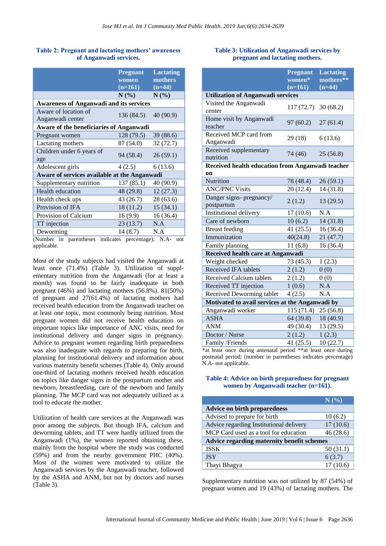#### **Table 2: Pregnant and lactating mothers' awareness of Anganwadi services.**

| <b>Awareness of Anganwadi and its services</b> | <b>Pregnant</b><br>women<br>$(n=161)$<br>N(%) | <b>Lactating</b><br>mothers<br>$(n=44)$<br>N(%) |  |  |
|------------------------------------------------|-----------------------------------------------|-------------------------------------------------|--|--|
| Aware of location of<br>Anganwadi center       | 136 (84.5)                                    | 40 (90.9)                                       |  |  |
| <b>Aware of the beneficiaries of Anganwadi</b> |                                               |                                                 |  |  |
| Pregnant women                                 | 128(79.5)                                     | 39 (88.6)                                       |  |  |
| Lactating mothers                              | 87 (54.0)                                     | 32 (72.7)                                       |  |  |
| Children under 6 years of<br>age               | 94 (58.4)                                     | 26(59.1)                                        |  |  |
| Adolescent girls                               | 4(2.5)                                        | 6(13.6)                                         |  |  |
| Aware of services available at the Anganwadi   |                                               |                                                 |  |  |
| Supplementary nutrition                        | 137 (85.1)                                    | 40 (90.9)                                       |  |  |
| <b>Health education</b>                        | 48 (29.8)                                     | 12(27.3)                                        |  |  |
| Health check ups                               | 43 (26.7)                                     | 28(63.6)                                        |  |  |
| Provision of IFA                               | 18(11.2)                                      | 15(34.1)                                        |  |  |
| Provision of Calcium                           | 16(9.9)                                       | 16(36.4)                                        |  |  |
| TT injection                                   | 23(13.7)                                      | N.A                                             |  |  |
| Deworming<br>$\cdot$ $\cdot$                   | 14(8.7)                                       | N.A                                             |  |  |

(Number in parentheses indicates percentage); N.A- not applicable.

Most of the study subjects had visited the Anganwadi at least once (71.4%) (Table 3). Utilization of supplementary nutrition from the Anganwadi (for at least a month) was found to be fairly inadequate in both pregnant (46%) and lactating mothers (56.8%). 81(50%) of pregnant and 27(61.4%) of lactating mothers had received health education from the Anganwadi teacher on at least one topic, most commonly being nutrition. Most pregnant women did not receive health education on important topics like importance of ANC visits, need for institutional delivery and danger signs in pregnancy. Advice to pregnant women regarding birth preparedness was also inadequate with regards to preparing for birth, planning for institutional delivery and information about various maternity benefit schemes (Table 4). Only around one-third of lactating mothers received health education on topics like danger signs in the postpartum mother and newborn, breastfeeding, care of the newborn and family planning. The MCP card was not adequately utilized as a tool to educate the mother.

Utilization of health care services at the Anganwadi was poor among the subjects. But though IFA, calcium and deworming tablets, and TT were hardly utilized from the Anganwadi (1%), the women reported obtaining these, mainly from the hospital where the study was conducted (59%) and from the nearby government PHC (40%). Most of the women were motivated to utilize the Anganwadi services by the Anganwadi teacher, followed by the ASHA and ANM, but not by doctors and nurses (Table 3).

#### **Table 3: Utilization of Anganwadi services by pregnant and lactating mothers.**

|                                                  | <b>Pregnant</b><br>women*<br>$(n=161)$ | <b>Lactating</b><br>mothers**<br>$(n=44)$ |  |  |  |
|--------------------------------------------------|----------------------------------------|-------------------------------------------|--|--|--|
| <b>Utilization of Anganwadi services</b>         |                                        |                                           |  |  |  |
| Visited the Anganwadi<br>center                  | $117(72.7)$ 30 (68.2)                  |                                           |  |  |  |
| Home visit by Anganwadi<br>teacher               | 97(60.2)                               | 27(61.4)                                  |  |  |  |
| Received MCP card from<br>Anganwadi              | 29 (18)                                | 6(13.6)                                   |  |  |  |
| Received supplementary<br>nutrition              | 74 (46)                                | 25(56.8)                                  |  |  |  |
| Received health education from Anganwadi teacher |                                        |                                           |  |  |  |
| on                                               |                                        |                                           |  |  |  |
| <b>Nutrition</b>                                 | 78 (48.4)                              | 26(59.1)                                  |  |  |  |
| <b>ANC/PNC Visits</b>                            | 20(12.4)                               | 14(31.8)                                  |  |  |  |
| Danger signs- pregnancy/<br>postpartum           | 2(1.2)                                 | 13(29.5)                                  |  |  |  |
| Institutional delivery                           | 17(10.6)                               | N.A                                       |  |  |  |
| Care of newborn                                  | 10(6.2)                                | 14(31.8)                                  |  |  |  |
| <b>Breast</b> feeding                            | 41 $(25.5)$                            | 16(36.4)                                  |  |  |  |
| Immunization                                     | 40(24.8)                               | 21 (47.7)                                 |  |  |  |
| Family planning                                  | 11(6.8)                                | 16(36.4)                                  |  |  |  |
| Received health care at Anganwadi                |                                        |                                           |  |  |  |
| Weight checked                                   | 73 (45.3)                              | 1(2.3)                                    |  |  |  |
| <b>Received IFA tablets</b>                      | 2(1.2)                                 | 0(0)                                      |  |  |  |
| <b>Received Calcium tablets</b>                  | 2(1.2)                                 | 0(0)                                      |  |  |  |
| Received TT injection                            | 1(0.6)                                 | N.A                                       |  |  |  |
| Received Deworming tablet                        | 4(2.5)                                 | N.A                                       |  |  |  |
| Motivated to avail services at the Anganwadi by  |                                        |                                           |  |  |  |
| Anganwadi worker                                 | 115 (71.4)                             | 25(56.8)                                  |  |  |  |
| <b>ASHA</b>                                      | 64 (39.8)                              | 18 (40.9)                                 |  |  |  |
| <b>ANM</b>                                       | 49 (30.4)                              | 13 (29.5)                                 |  |  |  |
| Doctor / Nurse                                   | 2(1.2)                                 | 1(2.3)                                    |  |  |  |
| Family /Friends                                  | 41(25.5)                               | 10(22.7)                                  |  |  |  |

\*at least once during antenatal period \*\*at least once during postnatal period; (number in parentheses indicates percentage) N.A- not applicable.

#### **Table 4: Advice on birth preparedness for pregnant women by Anganwadi teacher (n=161).**

|                                                   | N(%)     |  |
|---------------------------------------------------|----------|--|
| <b>Advice on birth preparedness</b>               |          |  |
| Advised to prepare for birth                      | 10(6.2)  |  |
| Advice regarding Institutional delivery           | 17(10.6) |  |
| MCP Card used as a tool for education             | 46(28.6) |  |
| <b>Advice regarding maternity benefit schemes</b> |          |  |
| <b>JSSK</b>                                       | 50(31.1) |  |
| <b>JSY</b>                                        | 6(3.7)   |  |
| Thayi Bhagya                                      | 17(10.6) |  |

Supplementary nutrition was not utilized by 87 (54%) of pregnant women and 19 (43%) of lactating mothers. The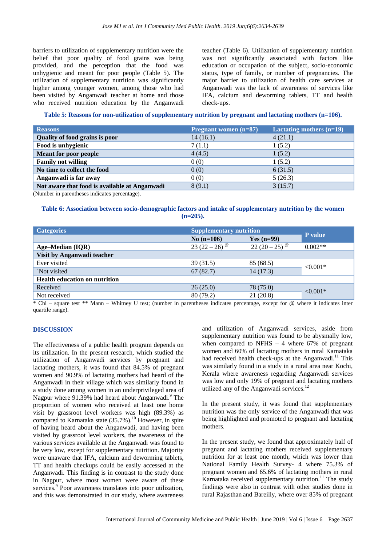barriers to utilization of supplementary nutrition were the belief that poor quality of food grains was being provided, and the perception that the food was unhygienic and meant for poor people (Table 5). The utilization of supplementary nutrition was significantly higher among younger women, among those who had been visited by Anganwadi teacher at home and those who received nutrition education by the Anganwadi teacher (Table 6). Utilization of supplementary nutrition was not significantly associated with factors like education or occupation of the subject, socio-economic status, type of family, or number of pregnancies. The major barrier to utilization of health care services at Anganwadi was the lack of awareness of services like IFA, calcium and deworming tablets, TT and health check-ups.

**Table 5: Reasons for non-utilization of supplementary nutrition by pregnant and lactating mothers (n=106).**

| <b>Reasons</b>                                | <b>Pregnant women <math>(n=87)</math></b> | Lactating mothers $(n=19)$ |
|-----------------------------------------------|-------------------------------------------|----------------------------|
| Quality of food grains is poor                | 14(16.1)                                  | 4(21.1)                    |
| Food is unhygienic                            | 7(1.1)                                    | 1(5.2)                     |
| <b>Meant for poor people</b>                  | 4(4.5)                                    | 1(5.2)                     |
| <b>Family not willing</b>                     | 0(0)                                      | 1(5.2)                     |
| No time to collect the food                   | 0(0)                                      | 6(31.5)                    |
| Anganwadi is far away                         | 0(0)                                      | 5(26.3)                    |
| Not aware that food is available at Anganwadi | 8(9.1)                                    | 3(15.7)                    |

(Number in parentheses indicates percentage).

#### **Table 6: Association between socio-demographic factors and intake of supplementary nutrition by the women (n=205).**

| <b>Categories</b>                    | <b>Supplementary nutrition</b>               |                                 |                |  |
|--------------------------------------|----------------------------------------------|---------------------------------|----------------|--|
|                                      | $No(n=106)$                                  | Yes $(n=99)$                    | <b>P</b> value |  |
| Age-Median (IQR)                     | 23 (22 – 26) <sup><math>\degree</math></sup> | $22(20-25)$ <sup><i>@</i></sup> | $0.002**$      |  |
| Visit by Anganwadi teacher           |                                              |                                 |                |  |
| Ever visited                         | 39 (31.5)                                    | 85 (68.5)                       | $< 0.001*$     |  |
| Not visited                          | 67(82.7)                                     | 14(17.3)                        |                |  |
| <b>Health education on nutrition</b> |                                              |                                 |                |  |
| Received                             | 26(25.0)                                     | 78 (75.0)                       | $< 0.001*$     |  |
| Not received                         | 80 (79.2)                                    | 21(20.8)                        |                |  |

\* Chi – square test \*\* Mann – Whitney U test; (number in parentheses indicates percentage, except for @ where it indicates inter quartile range).

#### **DISCUSSION**

The effectiveness of a public health program depends on its utilization. In the present research, which studied the utilization of Anganwadi services by pregnant and lactating mothers, it was found that 84.5% of pregnant women and 90.9% of lactating mothers had heard of the Anganwadi in their village which was similarly found in a study done among women in an underprivileged area of Nagpur where 91.39% had heard about Anganwadi.<sup>9</sup> The proportion of women who received at least one home visit by grassroot level workers was high (89.3%) as compared to Karnataka state  $(35.7\%)$ .<sup>10</sup> However, in spite of having heard about the Anganwadi, and having been visited by grassroot level workers, the awareness of the various services available at the Anganwadi was found to be very low, except for supplementary nutrition. Majority were unaware that IFA, calcium and deworming tablets, TT and health checkups could be easily accessed at the Anganwadi. This finding is in contrast to the study done in Nagpur, where most women were aware of these services.<sup>9</sup> Poor awareness translates into poor utilization, and this was demonstrated in our study, where awareness

and utilization of Anganwadi services, aside from supplementary nutrition was found to be abysmally low, when compared to NFHS  $-4$  where 67% of pregnant women and 60% of lactating mothers in rural Karnataka had received health check-ups at the Anganwadi.<sup>11</sup> This was similarly found in a study in a rural area near Kochi, Kerala where awareness regarding Anganwadi services was low and only 19% of pregnant and lactating mothers utilized any of the Anganwadi services.<sup>12</sup>

In the present study, it was found that supplementary nutrition was the only service of the Anganwadi that was being highlighted and promoted to pregnant and lactating mothers.

In the present study, we found that approximately half of pregnant and lactating mothers received supplementary nutrition for at least one month, which was lower than National Family Health Survey- 4 where 75.3% of pregnant women and 65.6% of lactating mothers in rural Karnataka received supplementary nutrition.<sup>11</sup> The study findings were also in contrast with other studies done in rural Rajasthan and Bareilly, where over 85% of pregnant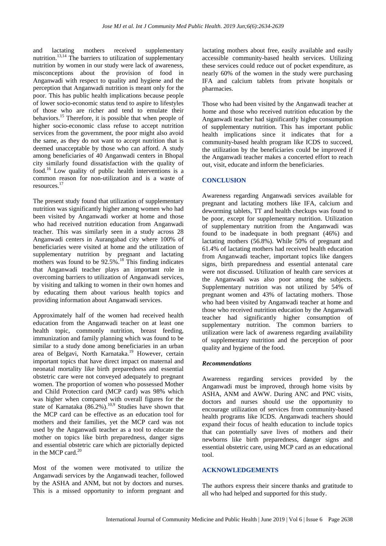and lactating mothers received supplementary nutrition.<sup>13,14</sup> The barriers to utilization of supplementary nutrition by women in our study were lack of awareness, misconceptions about the provision of food in Anganwadi with respect to quality and hygiene and the perception that Anganwadi nutrition is meant only for the poor. This has public health implications because people of lower socio-economic status tend to aspire to lifestyles of those who are richer and tend to emulate their behaviors.<sup>15</sup> Therefore, it is possible that when people of higher socio-economic class refuse to accept nutrition services from the government, the poor might also avoid the same, as they do not want to accept nutrition that is deemed unacceptable by those who can afford. A study among beneficiaries of 40 Anganwadi centers in Bhopal city similarly found dissatisfaction with the quality of food.<sup>16</sup> Low quality of public health interventions is a common reason for non-utilization and is a waste of resources.<sup>17</sup>

The present study found that utilization of supplementary nutrition was significantly higher among women who had been visited by Anganwadi worker at home and those who had received nutrition education from Anganwadi teacher. This was similarly seen in a study across 28 Anganwadi centers in Aurangabad city where 100% of beneficiaries were visited at home and the utilization of supplementary nutrition by pregnant and lactating mothers was found to be  $92.5\%$ .<sup>18</sup> This finding indicates that Anganwadi teacher plays an important role in overcoming barriers to utilization of Anganwadi services, by visiting and talking to women in their own homes and by educating them about various health topics and providing information about Anganwadi services.

Approximately half of the women had received health education from the Anganwadi teacher on at least one health topic, commonly nutrition, breast feeding, immunization and family planning which was found to be similar to a study done among beneficiaries in an urban area of Belgavi, North Karnataka.<sup>19</sup> However, certain important topics that have direct impact on maternal and neonatal mortality like birth preparedness and essential obstetric care were not conveyed adequately to pregnant women. The proportion of women who possessed Mother and Child Protection card (MCP card) was 98% which was higher when compared with overall figures for the state of Karnataka  $(86.2\%)$ .<sup>10,9</sup> Studies have shown that the MCP card can be effective as an education tool for mothers and their families, yet the MCP card was not used by the Anganwadi teacher as a tool to educate the mother on topics like birth preparedness, danger signs and essential obstetric care which are pictorially depicted in the MCP card. $20$ 

Most of the women were motivated to utilize the Anganwadi services by the Anganwadi teacher, followed by the ASHA and ANM, but not by doctors and nurses. This is a missed opportunity to inform pregnant and lactating mothers about free, easily available and easily accessible community-based health services. Utilizing these services could reduce out of pocket expenditure, as nearly 60% of the women in the study were purchasing IFA and calcium tablets from private hospitals or pharmacies.

Those who had been visited by the Anganwadi teacher at home and those who received nutrition education by the Anganwadi teacher had significantly higher consumption of supplementary nutrition. This has important public health implications since it indicates that for a community-based health program like ICDS to succeed, the utilization by the beneficiaries could be improved if the Anganwadi teacher makes a concerted effort to reach out, visit, educate and inform the beneficiaries.

#### **CONCLUSION**

Awareness regarding Anganwadi services available for pregnant and lactating mothers like IFA, calcium and deworming tablets, TT and health checkups was found to be poor, except for supplementary nutrition. Utilization of supplementary nutrition from the Anganwadi was found to be inadequate in both pregnant (46%) and lactating mothers (56.8%). While 50% of pregnant and 61.4% of lactating mothers had received health education from Anganwadi teacher, important topics like dangers signs, birth preparedness and essential antenatal care were not discussed. Utilization of health care services at the Anganwadi was also poor among the subjects. Supplementary nutrition was not utilized by 54% of pregnant women and 43% of lactating mothers. Those who had been visited by Anganwadi teacher at home and those who received nutrition education by the Anganwadi teacher had significantly higher consumption of supplementary nutrition. The common barriers to utilization were lack of awareness regarding availability of supplementary nutrition and the perception of poor quality and hygiene of the food.

#### *Recommendations*

Awareness regarding services provided by the Anganwadi must be improved, through home visits by ASHA, ANM and AWW. During ANC and PNC visits, doctors and nurses should use the opportunity to encourage utilization of services from community-based health programs like ICDS. Anganwadi teachers should expand their focus of health education to include topics that can potentially save lives of mothers and their newborns like birth preparedness, danger signs and essential obstetric care, using MCP card as an educational tool.

#### **ACKNOWLEDGEMENTS**

The authors express their sincere thanks and gratitude to all who had helped and supported for this study.